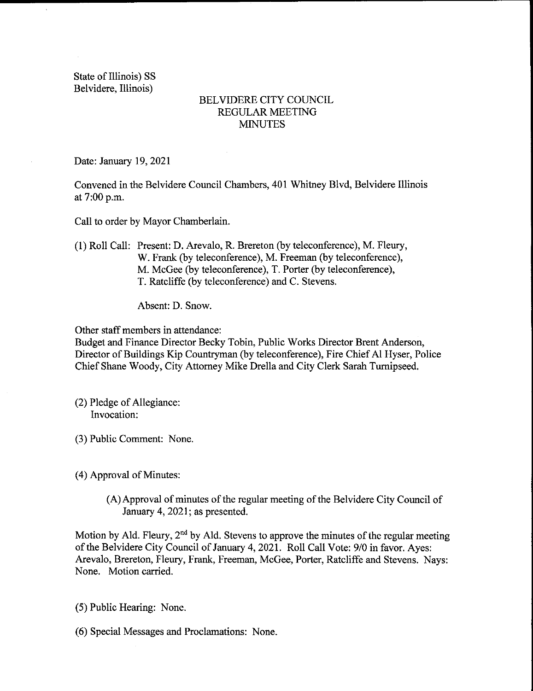State of Illinois) SS Belvidere, Illinois)

 $\bar{\mathbf{u}}$ 

## BELVIDERE CITY COUNCIL REGULAR MEETING **MINUTES**

Date: January 19, 2021

Convened in the Belvidere Council Chambers, 401 Whitney Blvd, Belvidere Illinois at 7:00 p.m.

Call to order by Mayor Chamberlain.

1) Roll Call: Present: D. Arevalo, R. Brereton (by teleconference), M. Fleury, W. Frank (by teleconference), M. Freeman (by teleconference), M. McGee (by teleconference), T. Porter (by teleconference), T. Ratcliffe (by teleconference) and C. Stevens.

Absent: D. Snow.

Other staff members in attendance:

Budget and Finance Director Becky Tobin, Public Works Director Brent Anderson, Director of Buildings Kip Countryman( by teleconference), Fire Chief Al Hyser, Police Chief Shane Woody, City Attorney Mike Drella and City Clerk Sarah Turnipseed.

- (2) Pledge of Allegiance: Invocation:
- 3) Public Comment: None.

4) Approval of Minutes:

A)Approval of minutes of the regular meeting of the Belvidere City Council of January 4, 2021; as presented.

Motion by Ald. Fleury,  $2<sup>nd</sup>$  by Ald. Stevens to approve the minutes of the regular meeting of the Belvidere City Council of January 4, 2021. Roll Call Vote: 9/0 in favor. Ayes: Arevalo, Brereton, Fleury, Frank, Freeman, McGee, Porter, Ratcliffe and Stevens. Nays: None. Motion carried.

5) Public Hearing: None.

6) Special Messages and Proclamations: None.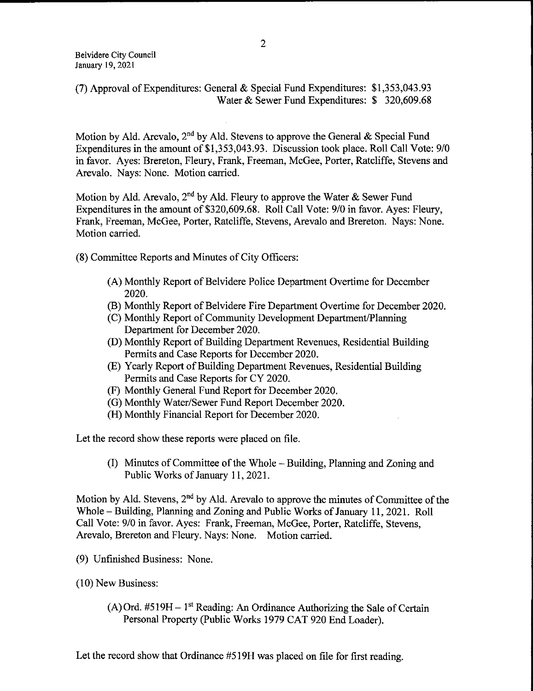## 7) Approval of Expenditures: General & Special Fund Expenditures: \$ 1, 353, 043. <sup>93</sup> Water & Sewer Fund Expenditures: \$ 320,609.68

Motion by Ald. Arevalo, 2<sup>nd</sup> by Ald. Stevens to approve the General & Special Fund Expenditures in the amount of \$1,353,043.93. Discussion took place. Roll Call Vote: 9/0 in favor. Ayes: Brereton, Fleury, Frank, Freeman, McGee, Porter, Ratcliffe, Stevens and Arevalo. Nays: None. Motion carried.

Motion by Ald. Arevalo, 2<sup>nd</sup> by Ald. Fleury to approve the Water & Sewer Fund Expenditures in the amount of \$320,609.68. Roll Call Vote: 9/0 in favor. Ayes: Fleury, Frank, Freeman, McGee, Porter, Ratcliffe, Stevens, Arevalo and Brereton. Nays: None. Motion carried.

8) Committee Reports and Minutes of City Officers:

- A) Monthly Report of Belvidere Police Department Overtime for December 2020.
- B) Monthly Report of Belvidere Fire Department Overtime for December 2020.
- C) Monthly Report of Community Development Department/ Planning Department for December 2020.
- D) Monthly Report of Building Department Revenues, Residential Building Permits and Case Reports for December 2020.
- E) Yearly Report of Building Department Revenues, Residential Building Permits and Case Reports for CY 2020.
- F) Monthly General Fund Report for December 2020.
- (G) Monthly Water/Sewer Fund Report December 2020.
- (H) Monthly Financial Report for December 2020.

Let the record show these reports were placed on file.

I) Minutes of Committee of the Whole— Building, Planning and Zoning and Public Works of January 11, 2021.

Motion by Ald. Stevens, 2<sup>nd</sup> by Ald. Arevalo to approve the minutes of Committee of the Whole— Building, Planning and Zoning and Public Works of January 11, 2021. Roll Call Vote: 9/0 in favor. Ayes: Frank, Freeman, McGee, Porter, Ratcliffe, Stevens, Arevalo, Brereton and Fleury. Nays: None. Motion carried.

- 9) Unfinished Business: None.
- 10) New Business:
	- $(A)$  Ord. #519H 1<sup>st</sup> Reading: An Ordinance Authorizing the Sale of Certain Personal Property( Public Works 1979 CAT 920 End Loader).

Let the record show that Ordinance #519H was placed on file for first reading.